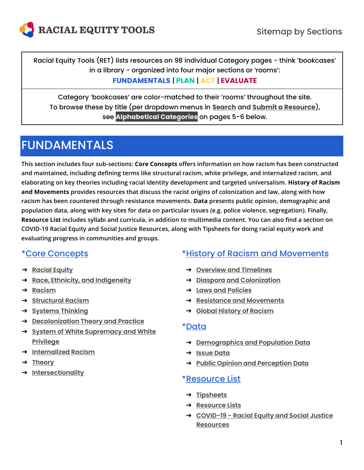

<span id="page-0-0"></span>Racial Equity Tools (RET) lists resources on 98 individual Category pages − think 'bookcases' in a library − organized into four major sections or 'rooms':

#### **FUNDAMENTALS** | **PLAN** | **ACT** | **EVALUATE**

Category 'bookcases' are color-matched to their 'rooms' throughout the site. To browse these by title (per dropdown menus in **[Search](https://www.racialequitytools.org/resources)** and **[Submit a Resource](https://www.racialequitytools.org/submit-resource)**), see **[Alphabetical Categories](#page-4-0)** on pages 5−6 below.

# [FUNDAMENTALS](https://www.racialequitytools.org/resources/fundamentals)

**This section includes four sub-sections: Core Concepts offers information on how racism has been constructed and maintained, including defining terms like structural racism, white privilege, and internalized racism, and elaborating on key theories including racial identity development and targeted universalism. History of Racism and Movements provides resources that discuss the racist origins of colonization and law, along with how racism has been countered through resistance movements. Data presents public opinion, demographic and population data, along with key sites for data on particular issues (e.g. police violence, segregation). Finally, Resource List includes syllabi and curricula, in addition to multimedia content. You can also find a section on COVID-19 Racial Equity and Social Justice Resources, along with Tipsheets for doing racial equity work and evaluating progress in communities and groups.**

# [\\*Core Concepts](https://www.racialequitytools.org/resources/fundamentals/core-concepts)

- ➔ **[Racial Equity](https://www.racialequitytools.org/resources/fundamentals/core-concepts/racial-equity)**
- ➔ **[Race, Ethnicity, and Indigeneity](https://www.racialequitytools.org/resources/fundamentals/core-concepts/race%2C-ethnicity%2C-and-indigeneity)**
- ➔ **[Racism](https://www.racialequitytools.org/resources/fundamentals/core-concepts/racism)**
- ➔ **[Structural Racism](https://www.racialequitytools.org/resources/fundamentals/core-concepts/structural-racism)**
- ➔ **[Systems Thinking](https://www.racialequitytools.org/resources/fundamentals/core-concepts/systems-thinking)**
- ➔ **[Decolonization Theory and Practice](https://www.racialequitytools.org/resources/fundamentals/core-concepts/decolonization-theory-and-practice)**
- ➔ **[System of White Supremacy and White](https://www.racialequitytools.org/resources/fundamentals/core-concepts/system-of-white-supremacy-and-white-privilege)  [Privilege](https://www.racialequitytools.org/resources/fundamentals/core-concepts/system-of-white-supremacy-and-white-privilege)**
- ➔ **[Internalized Racism](https://www.racialequitytools.org/resources/fundamentals/core-concepts/internalized-racism)**
- ➔ **[Theory](https://www.racialequitytools.org/resources/fundamentals/core-concepts/theory)**
- ➔ **[Intersectionality](https://www.racialequitytools.org/resources/fundamentals/core-concepts/intersectionality)**

### [\\*History of Racism and Movements](https://www.racialequitytools.org/resources/fundamentals/history-of-racism-and-movements)

- ➔ **[Overview and Timelines](https://www.racialequitytools.org/resources/fundamentals/history-of-racism-and-movements/overview-and-timelines)**
- ➔ **[Diaspora and Colonization](https://www.racialequitytools.org/resources/fundamentals/history-of-racism-and-movements/diaspora-and-colonization)**
- ➔ **[Laws and Policies](https://www.racialequitytools.org/resources/fundamentals/history-of-racism-and-movements/laws-and-policies)**
- ➔ **[Resistance and Movements](https://www.racialequitytools.org/resources/fundamentals/history-of-racism-and-movements/resistance-and-movements)**
- ➔ **[Global History of Racism](https://www.racialequitytools.org/resources/fundamentals/history-of-racism-and-movements/global-history-of-racism)**

#### [\\*Data](https://www.racialequitytools.org/resources/fundamentals/data)

- ➔ **[Demographics and Population Data](https://www.racialequitytools.org/resources/fundamentals/data/demographics-and-population-data)**
- ➔ **[Issue Data](https://www.racialequitytools.org/resources/fundamentals/data/issue-data)**
- ➔ **[Public Opinion and Perception Data](https://www.racialequitytools.org/resources/fundamentals/data/public-opinion-and-perception-data)**

### [\\*Resource List](https://www.racialequitytools.org/resources/fundamentals/resource-list)

- ➔ **[Tipsheets](https://www.racialequitytools.org/resources/fundamentals/resource-list/tipsheets)**
- ➔ **[Resource Lists](https://www.racialequitytools.org/resources/fundamentals/resource-list/resource-lists)**
- ➔ **COVID-19 - [Racial Equity and Social Justice](https://www.racialequitytools.org/resources/fundamentals/resource-list/covid-19---racial-equity-and-social-justice-resources)  [Resources](https://www.racialequitytools.org/resources/fundamentals/resource-list/covid-19---racial-equity-and-social-justice-resources)**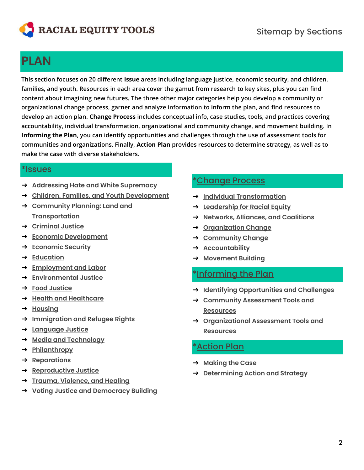

# **[PLAN](https://www.racialequitytools.org/resources/plan)**

**This section focuses on 20 different Issue areas including language justice, economic security, and children, families, and youth. Resources in each area cover the gamut from research to key sites, plus you can find content about imagining new futures. The three other major categories help you develop a community or organizational change process, garner and analyze information to inform the plan, and find resources to develop an action plan. Change Process includes conceptual info, case studies, tools, and practices covering accountability, individual transformation, organizational and community change, and movement building. In Informing the Plan, you can identify opportunities and challenges through the use of assessment tools for communities and organizations. Finally, Action Plan provides resources to determine strategy, as well as to make the case with diverse stakeholders.**

#### [\\*Issues](https://www.racialequitytools.org/resources/plan/issues)

- ➔ **[Addressing Hate and White Supremacy](https://www.racialequitytools.org/resources/plan/issues/addressing-hate-and-white-supremacy)**
- ➔ **[Children, Families, and Youth Development](https://www.racialequitytools.org/resources/plan/issues/children%2C-families%2C-and-youth-development)**
- ➔ **[Community Planning: Land and](https://www.racialequitytools.org/resources/plan/issues/community-planning%3A-land-and-transportation)  [Transportation](https://www.racialequitytools.org/resources/plan/issues/community-planning%3A-land-and-transportation)**
- ➔ **[Criminal Justice](https://www.racialequitytools.org/resources/plan/issues/criminal-justice)**
- ➔ **[Economic Development](https://www.racialequitytools.org/resources/plan/issues/economic-development)**
- ➔ **[Economic Security](https://www.racialequitytools.org/resources/plan/issues/economic-security)**
- ➔ **[Education](https://www.racialequitytools.org/resources/plan/issues/education)**
- ➔ **[Employment and Labor](https://www.racialequitytools.org/resources/plan/issues/employment-and-labor)**
- ➔ **[Environmental Justice](https://www.racialequitytools.org/resources/plan/issues/environmental-justice)**
- ➔ **[Food Justice](https://www.racialequitytools.org/resources/plan/issues/food-justice)**
- ➔ **[Health and Healthcare](https://www.racialequitytools.org/resources/plan/issues/health-and-healthcare)**
- ➔ **[Housing](https://www.racialequitytools.org/resources/plan/issues/housing)**
- ➔ **[Immigration and Refugee Rights](https://www.racialequitytools.org/resources/plan/issues/immigration-and-refugee-rights)**
- ➔ **[Language Justice](https://www.racialequitytools.org/resources/plan/issues/language-justice)**
- ➔ **[Media and Technology](https://www.racialequitytools.org/resources/plan/issues/media-and-technology)**
- ➔ **[Philanthropy](https://www.racialequitytools.org/resources/plan/issues/philanthropy)**
- ➔ **[Reparations](https://www.racialequitytools.org/resources/plan/issues/reparations)**
- ➔ **[Reproductive Justice](https://www.racialequitytools.org/resources/plan/issues/reproductive-justice)**
- ➔ **[Trauma, Violence, and Healing](https://www.racialequitytools.org/resources/plan/issues/trauma%2C-violence%2C-and-healing)**
- ➔ **Voting [Justice and Democracy Building](https://www.racialequitytools.org/resources/plan/issues/voting-justice-and-democracy-building)**

#### [\\*Change Process](https://www.racialequitytools3sms1.org/resources/plan/change-process)

- ➔ **Individual [Transformation](https://www.racialequitytools.org/resources/plan/change-process/individual-transformation)**
- ➔ **[Leadership for Racial Equity](https://www.racialequitytools.org/resources/plan/change-process/leadership-for-racial-equity)**
- ➔ **[Networks, Alliances, and Coalitions](https://www.racialequitytools.org/resources/plan/change-process/networks%2C-alliances%2C-and-coalitions)**
- ➔ **[Organization Change](https://www.racialequitytools.org/resources/plan/change-process/organization-change)**
- ➔ **[Community Change](https://www.racialequitytools.org/resources/plan/change-process/community-change)**
- ➔ **[Accountability](https://www.racialequitytools.org/resources/plan/change-process/accountability)**
- ➔ **[Movement Building](https://www.racialequitytools.org/resources/plan/change-process/movement-building)**

#### [\\*Informing the Plan](https://www.racialequitytools.org/resources/plan/informing-the-plan)

- ➔ **[Identifying Opportunities and Challenges](https://www.racialequitytools.org/resources/plan/informing-the-plan/identifying-opportunities-and-challenges)**
- ➔ **[Community Assessment Tools and](https://www.racialequitytools.org/resources/plan/informing-the-plan/community-assessment-tools-and-resources)  [Resources](https://www.racialequitytools.org/resources/plan/informing-the-plan/community-assessment-tools-and-resources)**
- ➔ **[Organizational Assessment Tools and](https://www.racialequitytools.org/resources/plan/informing-the-plan/organizational-assessment-tools-and-resources)  [Resources](https://www.racialequitytools.org/resources/plan/informing-the-plan/organizational-assessment-tools-and-resources)**

### [\\*Action Plan](https://www.racialequitytools.org/resources/plan/action-plan)

- ➔ **[Making the Case](https://www.racialequitytools.org/resources/plan/action-plan/making-the-case)**
- ➔ **[Determining Action and Strategy](https://www.racialequitytools.org/resources/plan/action-plan/determining-action-and-strategy)**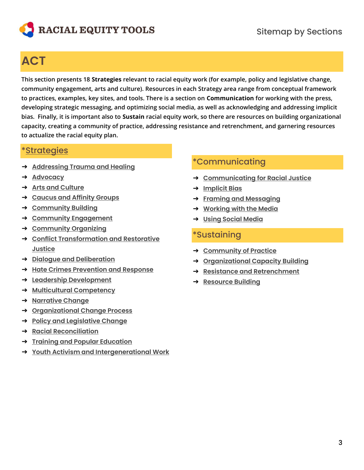

# **[ACT](https://www.racialequitytools.org/resources/act)**

**This section presents 18 Strategies relevant to racial equity work (for example, policy and legislative change, community engagement, arts and culture). Resources in each Strategy area range from conceptual framework to practices, examples, key sites, and tools. There is a section on Communication for working with the press, developing strategic messaging, and optimizing social media, as well as acknowledging and addressing implicit bias. Finally, it is important also to Sustain racial equity work, so there are resources on building organizational capacity, creating a community of practice, addressing resistance and retrenchment, and garnering resources to actualize the racial equity plan.**

#### [\\*Strategies](https://www.racialequitytools.org/resources/act/strategies)

- ➔ **[Addressing Trauma and Healing](https://www.racialequitytools.org/resources/act/strategies/addressing-trauma-and-healing)**
- ➔ **[Advocacy](https://www.racialequitytools.org/resources/act/strategies/advocacy)**
- ➔ **[Arts and Culture](https://www.racialequitytools.org/resources/act/strategies/arts-and-culture)**
- ➔ **[Caucus and Affinity Groups](https://www.racialequitytools.org/resources/act/strategies/caucus-and-affinity-groups)**
- ➔ **[Community Building](https://www.racialequitytools.org/resources/act/strategies/community-building)**
- ➔ **[Community Engagement](https://www.racialequitytools.org/resources/act/strategies/community-engagement)**
- ➔ **[Community Organizing](https://www.racialequitytools.org/resources/act/strategies/community-organizing)**
- ➔ **[Conflict Transformation and Restorative](https://www.racialequitytools.org/resources/act/strategies/conflict-transformation-and-restorative-justice)  [Justice](https://www.racialequitytools.org/resources/act/strategies/conflict-transformation-and-restorative-justice)**
- ➔ **[Dialogue and Deliberation](https://www.racialequitytools.org/resources/act/strategies/dialogue-and-deliberation)**
- ➔ **[Hate Crimes Prevention and Response](https://www.racialequitytools.org/resources/act/strategies/hate-crimes-prevention-and-response)**
- ➔ **[Leadership Development](https://www.racialequitytools.org/resources/act/strategies/leadership-development)**
- ➔ **[Multicultural Competency](https://www.racialequitytools.org/resources/act/strategies/multicultural-competency)**
- ➔ **[Narrative Change](https://www.racialequitytools.org/resources/act/strategies/narrative-change)**
- ➔ **[Organizational Change Process](https://www.racialequitytools.org/resources/act/strategies/organizational-change-process)**
- ➔ **Policy and [Legislative Change](https://www.racialequitytools.org/resources/act/strategies/policy-and-legislative-change)**
- ➔ **[Racial Reconciliation](https://www.racialequitytools.org/resources/act/strategies/racial-reconciliation)**
- ➔ **[Training and Popular Education](https://www.racialequitytools.org/resources/act/strategies/training-and-popular-education)**
- ➔ **[Youth Activism and Intergenerational Work](https://www.racialequitytools.org/resources/act/strategies/youth-activism-and-intergenerational-work)**

## [\\*Communicating](https://www.racialequitytools.org/resources/act/communicating)

- ➔ **[Communicating for Racial Justice](https://www.racialequitytools.org/resources/act/communicating/communicating-for-racial-justice)**
- ➔ **[Implicit Bias](https://www.racialequitytools.org/resources/act/communicating/implicit-bias)**
- ➔ **[Framing and Messaging](https://www.racialequitytools.org/resources/act/communicating/framing-and-messaging)**
- ➔ **[Working with the Media](https://www.racialequitytools.org/resources/act/communicating/working-with-the-media)**
- ➔ **[Using Social Media](https://www.racialequitytools.org/resources/act/communicating/using-social-media)**

## [\\*Sustaining](https://www.racialequitytools.org/resources/act/sustaining)

- ➔ **[Community of Practice](https://www.racialequitytools.org/resources/act/sustaining/community-of-practice)**
- ➔ **[Organizational Capacity Building](https://www.racialequitytools.org/resources/act/sustaining/organizational-capacity-building)**
- ➔ **[Resistance and Retrenchment](https://www.racialequitytools.org/resources/act/sustaining/resistance-and-retrenchment)**
- ➔ **[Resource Building](https://www.racialequitytools.org/resources/act/sustaining/resource-building)**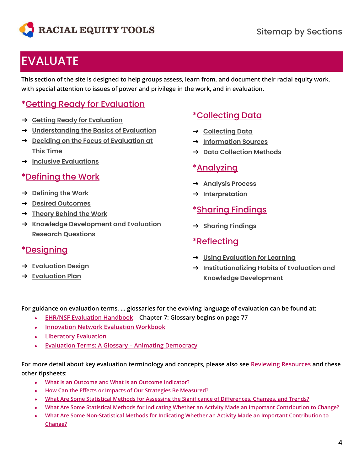

# **[EVALUATE](https://www.racialequitytools.org/resources/evaluate)**

**This section of the site is designed to help groups assess, learn from, and document their racial equity work, with special attention to issues of power and privilege in the work, and in evaluation.**

# [\\*Getting Ready for Evaluation](https://www.racialequitytools.org/resources/evaluate/getting-ready-for-evaluation)

- ➔ **[Getting Ready for Evaluation](https://www.racialequitytools.org/resources/evaluate/getting-ready-for-evaluation/getting-ready-for-evaluation)**
- ➔ **[Understanding the Basics of Evaluation](https://www.racialequitytools.org/resources/evaluate/getting-ready-for-evaluation/understanding-the-basics-of-evaluation)**
- ➔ **[Deciding on the Focus of Evaluation at](https://www.racialequitytools.org/resources/evaluate/getting-ready-for-evaluation/deciding-on-the-focus-of-evaluation-at-this-time)  This [Time](https://www.racialequitytools.org/resources/evaluate/getting-ready-for-evaluation/deciding-on-the-focus-of-evaluation-at-this-time)**
- ➔ **[Inclusive Evaluations](https://www.racialequitytools.org/resources/evaluate/getting-ready-for-evaluation/inclusive-evaluations)**

## [\\*Defining the Work](https://www.racialequitytools.org/resources/evaluate/defining-the-work)

- ➔ **[Defining the Work](https://www.racialequitytools.org/resources/evaluate/defining-the-work/defining-the-work)**
- ➔ **[Desired Outcomes](https://www.racialequitytools.org/resources/evaluate/defining-the-work/desired-outcomes)**
- ➔ **[Theory Behind the Work](https://www.racialequitytools.org/resources/evaluate/defining-the-work/theory-behind-the-work)**
- ➔ **[Knowledge Development and Evaluation](https://www.racialequitytools.org/resources/evaluate/defining-the-work/knowledge-development-and-evaluation-research-questions)  [Research Questions](https://www.racialequitytools.org/resources/evaluate/defining-the-work/knowledge-development-and-evaluation-research-questions)**

### [\\*Designing](https://www.racialequitytools.org/resources/evaluate/designing)

- ➔ **[Evaluation Design](https://www.racialequitytools.org/resources/evaluate/designing/evaluation-design)**
- ➔ **[Evaluation Plan](https://www.racialequitytools.org/resources/evaluate/designing/evaluation-plan)**

#### [\\*Collecting Data](https://www.racialequitytools.org/resources/evaluate/collecting-data)

- ➔ **[Collecting Data](https://www.racialequitytools.org/resources/evaluate/collecting-data/collecting-data)**
- ➔ **[Information Sources](https://www.racialequitytools.org/resources/evaluate/collecting-data/information-sources)**
- ➔ **[Data Collection Methods](https://www.racialequitytools.org/resources/evaluate/collecting-data/data-collection-methods)**

#### [\\*Analyzing](https://www.racialequitytools.org/resources/evaluate/analyzing)

- ➔ **[Analysis Process](https://www.racialequitytools.org/resources/evaluate/analyzing/analysis-process)**
- ➔ **[Interpretation](https://www.racialequitytools.org/resources/evaluate/analyzing/interpretation)**

### [\\*Sharing Findings](https://www.racialequitytools.org/resources/evaluate/sharing-findings)

➔ **[Sharing Findings](https://www.racialequitytools.org/resources/evaluate/sharing-findings/sharing-findings)**

#### [\\*Reflecting](https://www.racialequitytools.org/resources/evaluate/reflecting)

- ➔ **[Using Evaluation for Learning](https://www.racialequitytools.org/resources/evaluate/reflecting/using-evaluation-for-learning)**
- ➔ **[Institutionalizing Habits of Evaluation and](https://www.racialequitytools.org/resources/evaluate/reflecting/institutionalizing-habits-of-evaluation-and-knowledge-development)  [Knowledge Development](https://www.racialequitytools.org/resources/evaluate/reflecting/institutionalizing-habits-of-evaluation-and-knowledge-development)**

**For guidance on evaluation terms, … glossaries for the evolving language of evaluation can be found at:**

- **[EHR/NSF Evaluation Handbook](https://www.nsf.gov/pubs/2002/nsf02057/nsf02057.pdf) – Chapter 7: Glossary begins on page 77**
- **[Innovation Network Evaluation Workbook](http://www.innonet.org/client_docs/File/logic_model_workbook.pdf)**
- **[Liberatory Evaluation](https://static1.squarespace.com/static/58dc50613a04114fc05fff03/t/5ec358d5d96dfc4fe1252fab/1589860602456/Decolonizing+Research_Social+Insights_Zuri+Tau.pdf)**
- **[Evaluation Terms: A Glossary](https://animatingdemocracy.org/resources/glossary?page=4) – Animating Democracy**

**For more detail about key evaluation terminology and concepts, please also see [Reviewing Resources](https://drive.google.com/file/d/1xEcziRKw4tlw7qdT8iZNP5UH45dM3Zlb/view) and these other tipsheets:**

- **[What Is an Outcome and What Is an Outcome Indicator?](https://drive.google.com/file/d/1EbJBupfK_bYXI29HoYxNkz0om_21b75A/view)**
- **[How Can the Effects or Impacts of Our Strategies Be Measured?](https://drive.google.com/file/d/1WZNwtfeeuPYQDj9CxdMdtvq_n4sMGNXU/view)**
- **[What Are Some Statistical Methods for Assessing the Significance of Differences, Changes, and Trends?](https://drive.google.com/file/d/1iC7sVFuZ-_2whgmHj_CG2UZwtW4weZgK/view)**
- **[What Are Some Statistical Methods for Indicating Whether an Activity Made an Important Contribution to Change?](https://drive.google.com/file/d/1mnN1BcPlYbPRI6tPRO8WWdJsyEdzHxEQ/view)**
- **[What Are Some Non-Statistical Methods for Indicating Whether an Activity Made an Important Contribution to](https://drive.google.com/file/d/1OKFPU2t2l6RPJKjvJ1idag7qL6VGrkCu/view)  [Change?](https://drive.google.com/file/d/1OKFPU2t2l6RPJKjvJ1idag7qL6VGrkCu/view)**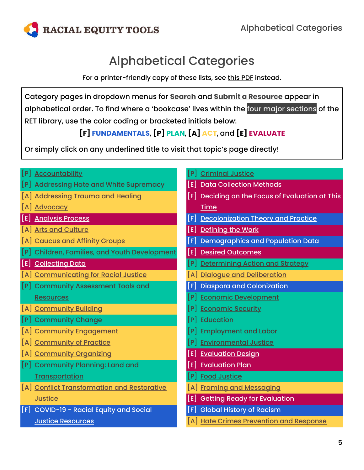<span id="page-4-0"></span>

# Alphabetical Categories

For a printer-friendly copy of these lists, see [this PDF](https://drive.google.com/file/d/1r6B7U_FrHzvCZ3wrss85Wdi2r01_V8ws/view?usp=sharing) instead.

Category pages in dropdown menus for **[Search](https://www.racialequitytools.org/resources)** and **[Submit a Resource](https://www.racialequitytools.org/submit-resource)** appear in alphabetical order. To find where a 'bookcase' lives within the [four major sections](#page-0-0) of the RET library, use the color coding or bracketed initials below:

# **[F] FUNDAMENTALS**, **[P] PLAN**, **[A] ACT**, and **[E] EVALUATE**

Or simply click on any underlined title to visit that topic's page directly!

|     | <b>Accountability</b>                            |       | <b>Criminal Justice</b>                     |
|-----|--------------------------------------------------|-------|---------------------------------------------|
| lP. | <b>Addressing Hate and White Supremacy</b>       | El    | <b>Data Collection Methods</b>              |
|     | <b>Addressing Trauma and Healing</b>             | [E]   | Deciding on the Focus of Evaluation at This |
|     | <b>Advocacy</b>                                  |       | <b>Time</b>                                 |
| [E] | <b>Analysis Process</b>                          | [F]   | <b>Decolonization Theory and Practice</b>   |
|     | <b>Arts and Culture</b>                          | [E]   | <b>Defining the Work</b>                    |
|     | <b>Caucus and Affinity Groups</b>                |       | Demographics and Population Data            |
|     | <b>Children, Families, and Youth Development</b> | [E]   | <b>Desired Outcomes</b>                     |
| [E] | <b>Collecting Data</b>                           |       | <b>Determining Action and Strategy</b>      |
|     | <b>Communicating for Racial Justice</b>          |       | <b>Dialogue and Deliberation</b>            |
|     | <b>Community Assessment Tools and</b>            |       | Diaspora and Colonization                   |
|     | <b>Resources</b>                                 |       | <b>Economic Development</b>                 |
|     | [A] Community Building                           | P     | <b>Economic Security</b>                    |
|     | <b>Community Change</b>                          |       | <b>Education</b>                            |
|     | [A] Community Engagement                         |       | <b>Employment and Labor</b>                 |
| A   | <b>Community of Practice</b>                     |       | <b>Environmental Justice</b>                |
|     | [A] Community Organizing                         |       | <b>Evaluation Design</b>                    |
|     | <b>Community Planning: Land and</b>              | l E l | <b>Evaluation Plan</b>                      |
|     | <b>Transportation</b>                            |       | <b>Food Justice</b>                         |
|     | [A] Conflict Transformation and Restorative      |       | A Framing and Messaging                     |
|     | <b>Justice</b>                                   | [E]   | <b>Getting Ready for Evaluation</b>         |
|     | [F] COVID-19 - Racial Equity and Social          | [F]   | <b>Global History of Racism</b>             |
|     | <b>Justice Resources</b>                         |       | [A] Hate Crimes Prevention and Response     |